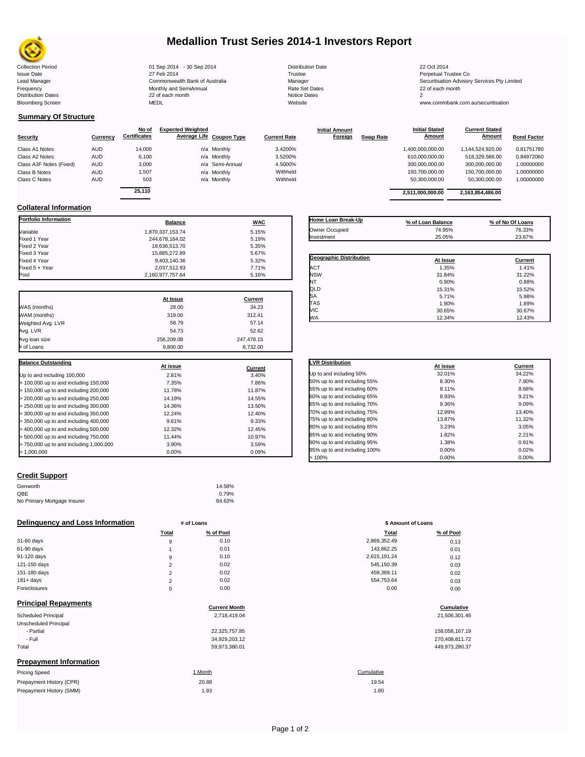

# **Medallion Trust Series 2014-1 Investors Report**

| <b>Collection Period</b>  | 01 Sep 2014 - 30 Sep 2014      | <b>Distribution Date</b> | 22 Oct 2014                             |
|---------------------------|--------------------------------|--------------------------|-----------------------------------------|
| <b>Issue Date</b>         | 27 Feb 2014                    | Trustee                  | Perpetual Trustee Co                    |
| Lead Manager              | Commonwealth Bank of Australia | Manager                  | Securitisation Advisory Services Pty Li |
| Frequency                 | Monthly and SemiAnnual         | Rate Set Dates           | 22 of each month                        |
| <b>Distribution Dates</b> | 22 of each month               | Notice Dates             |                                         |
| <b>Bloomberg Screen</b>   | MEDL                           | Website                  | www.commbank.com.au/securitisation      |
|                           |                                |                          |                                         |

**Current Stated** 

## **Summary Of Structure**

|                         |            | No of               | <b>Expected Weighted</b> |                 |                     | <b>Initial Amount</b> |                  | <b>Initial Stated</b> | <b>Current Stated</b> |                    |
|-------------------------|------------|---------------------|--------------------------|-----------------|---------------------|-----------------------|------------------|-----------------------|-----------------------|--------------------|
| <b>Security</b>         | Currency   | <b>Certificates</b> | Average Life Coupon Type |                 | <b>Current Rate</b> | Foreign               | <b>Swap Rate</b> | <b>Amount</b>         | <b>Amount</b>         | <b>Bond Factor</b> |
| Class A1 Notes          | <b>AUD</b> | 14,000              |                          | n/a Monthly     | 3.4200%             |                       |                  | 1,400,000,000.00      | 1.144.524.920.00      | 0.81751780         |
| Class A2 Notes          | <b>AUD</b> | 6.100               |                          | n/a Monthly     | 3.5200%             |                       |                  | 610.000.000.00        | 518.329.566.00        | 0.84972060         |
| Class A3F Notes (Fixed) | <b>AUD</b> | 3,000               |                          | n/a Semi-Annual | 4.5000%             |                       |                  | 300,000,000.00        | 300,000,000.00        | 1.00000000         |
| Class B Notes           | <b>AUD</b> | 1,507               |                          | n/a Monthly     | Withheld            |                       |                  | 150,700,000.00        | 150.700.000.00        | 1.00000000         |
| Class C Notes           | <b>AUD</b> | 503                 |                          | n/a Monthly     | Withheld            |                       |                  | 50.300.000.00         | 50.300.000.00         | 1.00000000         |
|                         |            | $-110$              |                          |                 |                     |                       |                  |                       |                       |                    |

| 25.110 |                 |          | 2.511.000.000.00 | 2,163,854,486.00 |            |
|--------|-----------------|----------|------------------|------------------|------------|
| 503    | n/a Monthly     | Withheld | 50.300.000.00    | 50.300.000.00    | 1.00000000 |
| 1,507  | n/a Monthly     | Withheld | 150.700.000.00   | 150.700.000.00   | 1.00000000 |
| 3.000  | n/a Semi-Annual | 4.5000%  | 300.000.000.00   | 300.000.000.00   | 1.00000000 |
| 6,100  | n/a Monthly     | 3.5200%  | 610.000.000.00   | 518,329,566.00   | 0.84972060 |
| 14.000 | n/a Monthly     | 3.4200%  | 1.400.000.000.00 | 1.144.524.920.00 | 0.81751780 |
|        |                 |          |                  |                  |            |

**Initial Stated** 

## **Collateral Information**

| <b>Portfolio Information</b>            | <b>Balance</b>   | <b>WAC</b> |
|-----------------------------------------|------------------|------------|
| Variable                                | 1.870.337.153.74 | 5.15%      |
| Fixed 1 Year                            | 244,678,164.02   | 5.19%      |
| Fixed 2 Year                            | 18,636,513.70    | 5.35%      |
| Fixed 3 Year                            | 15,885,272.89    | 5.67%      |
| Fixed 4 Year                            | 9,403,140.36     | 5.32%      |
| Fixed 5 + Year                          | 2,037,512.93     | 7.71%      |
| Pool                                    | 2,160,977,757.64 | 5.16%      |
|                                         | At Issue         | Current    |
| WAS (months)                            | 28.00            | 34.23      |
| WAM (months)                            | 319.00           | 312.41     |
| Weighted Avg. LVR                       | 58.79            | 57.14      |
| Ava. LVR                                | 54.73            | 52.62      |
| Avg loan size                           | 256,209.08       | 247,478.15 |
| # of Loans                              | 9,800.00         | 8,732.00   |
| <b>Balance Outstanding</b>              |                  |            |
|                                         | At issue         | Current    |
| Up to and including 100,000             | 2.81%            | 3.40%      |
| > 100,000 up to and including 150,000   | 7.35%            | 7.86%      |
| > 150,000 up to and including 200,000   | 11.78%           | 11.87%     |
| > 200,000 up to and including 250,000   | 14.19%           | 14.55%     |
| > 250,000 up to and including 300,000   | 14.36%           | 13.50%     |
| > 300,000 up to and including 350,000   | 12.24%           | 12.40%     |
| > 350,000 up to and including 400,000   | 9.61%            | 9.33%      |
| > 400,000 up to and including 500,000   | 12.32%           | 12.45%     |
| > 500,000 up to and including 750,000   | 11.44%           | 10.97%     |
| > 750,000 up to and including 1,000,000 | 3.90%            | 3.59%      |
| > 1,000,000                             | 0.00%            | 0.09%      |

| Home Loan Break-Up             | % of Loan Balance | % of No Of Loans |
|--------------------------------|-------------------|------------------|
| Owner Occupied                 | 74.95%            | 76.33%           |
| Investment                     | 25.05%            | 23.67%           |
|                                |                   |                  |
| <b>Geographic Distribution</b> | At Issue          | Current          |
| <b>ACT</b>                     | 1.35%             | 1.41%            |
| <b>NSW</b>                     | 31.84%            | 31.22%           |
| NT                             | 0.90%             | 0.88%            |
| QLD                            | 15.31%            | 15.52%           |
| <b>SA</b>                      | 5.71%             | 5.98%            |
| <b>TAS</b>                     | 1.90%             | 1.89%            |
| <b>VIC</b>                     | 30.65%            | 30.67%           |
| <b>WA</b>                      | 12.34%            | 12.43%           |

| <b>LVR Distribution</b>      | At issue | Current |
|------------------------------|----------|---------|
| Up to and including 50%      | 32.01%   | 34.22%  |
| 50% up to and including 55%  | 8.30%    | 7.90%   |
| 55% up to and including 60%  | 8.11%    | 8.68%   |
| 60% up to and including 65%  | 8.93%    | 9.21%   |
| 65% up to and including 70%  | 9.36%    | 9.09%   |
| 70% up to and including 75%  | 12.99%   | 13.40%  |
| 75% up to and including 80%  | 13.87%   | 11.32%  |
| 80% up to and including 85%  | 3.23%    | 3.05%   |
| 85% up to and including 90%  | 1.82%    | 2.21%   |
| 90% up to and including 95%  | 1.38%    | 0.91%   |
| 95% up to and including 100% | 0.00%    | 0.02%   |
| >100%                        | 0.00%    | 0.00%   |

### **Credit Support**

Prepayment History (SMM)

| Genworth                    | 14.58% |
|-----------------------------|--------|
| OBE                         | 0.79%  |
| No Primary Mortgage Insurer | 84.63% |

### **Delinquency and Loss Information # of Loans # of Loans \$ Amount of Loans**

|              | Total    | % of Pool | <b>Total</b> | % of Pool |
|--------------|----------|-----------|--------------|-----------|
| 31-60 days   | 9        | 0.10      | 2,869,352.49 | 0.13      |
| 61-90 days   |          | 0.01      | 143,862.25   | 0.01      |
| 91-120 days  | 9        | 0.10      | 2,615,191.24 | 0.12      |
| 121-150 days | $\sim$   | 0.02      | 545,150.39   | 0.03      |
| 151-180 days | $\sim$   | 0.02      | 459.369.11   | 0.02      |
| $181 + days$ | C        | 0.02      | 554.753.64   | 0.03      |
| Foreclosures | $\Omega$ | 0.00      | 0.00         | 0.00      |
|              |          |           |              |           |

| <b>Principal Repayments</b>   |                      |                |
|-------------------------------|----------------------|----------------|
|                               | <b>Current Month</b> | Cumulative     |
| Scheduled Principal           | 2,718,419.04         | 21,506,301.46  |
| Unscheduled Principal         |                      |                |
| - Partial                     | 22,325,757.85        | 158,058,167.19 |
| - Full                        | 34,929,203.12        | 270,408,811.72 |
| Total                         | 59,973,380.01        | 449,973,280.37 |
| <b>Prepayment Information</b> |                      |                |
| <b>Pricing Speed</b>          | 1 Month              | Cumulative     |
| Prepayment History (CPR)      | 20.88                | 19.54          |

| Total          | % of Pool | Total        | % of Pool |
|----------------|-----------|--------------|-----------|
| 9              | 0.10      | 2,869,352.49 | 0.13      |
| 4              | 0.01      | 143,862.25   | 0.01      |
| 9              | 0.10      | 2,615,191.24 | 0.12      |
| $\overline{2}$ | 0.02      | 545,150.39   | 0.03      |
| $\overline{2}$ | 0.02      | 459,369.11   | 0.02      |
| $\overline{2}$ | 0.02      | 554,753.64   | 0.03      |
| 0              | 0.00      | 0.00         | 0.00      |
|                |           |              |           |

# **Cumulative**

| 158.058.167.19 |
|----------------|
| 270.408.811.72 |
| 449,973,280.37 |

1.93 1.80